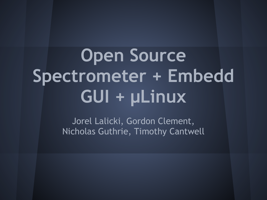# **Open Source Spectrometer + Embedd GUI + μLinux**

Jorel Lalicki, Gordon Clement, Nicholas Guthrie, Timothy Cantwell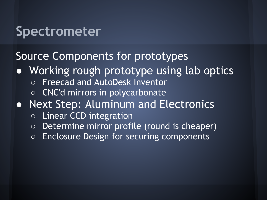#### **Spectrometer**

#### Source Components for prototypes

- Working rough prototype using lab optics
	- Freecad and AutoDesk Inventor
	- CNC'd mirrors in polycarbonate
- Next Step: Aluminum and Electronics
	- Linear CCD integration
	- Determine mirror profile (round is cheaper)
	- Enclosure Design for securing components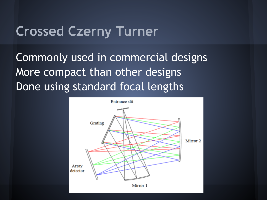#### **Crossed Czerny Turner**

Commonly used in commercial designs More compact than other designs Done using standard focal lengths

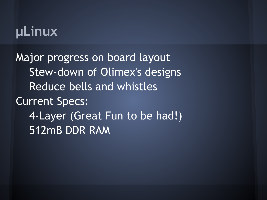### **μLinux**

Major progress on board layout Stew-down of Olimex's designs Reduce bells and whistles Current Specs: 4-Layer (Great Fun to be had!) 512mB DDR RAM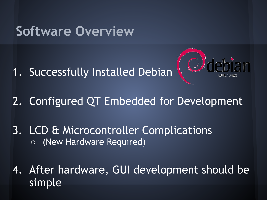#### **Software Overview**

1. Successfully Installed Debian



- 2. Configured QT Embedded for Development
- 3. LCD & Microcontroller Complications ○ (New Hardware Required)
- 4. After hardware, GUI development should be simple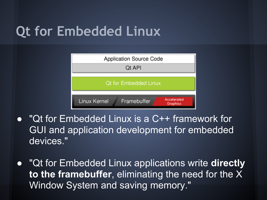## **Qt for Embedded Linux**



- "Qt for Embedded Linux is a C++ framework for GUI and application development for embedded devices."
- "Qt for Embedded Linux applications write **directly to the framebuffer**, eliminating the need for the X Window System and saving memory."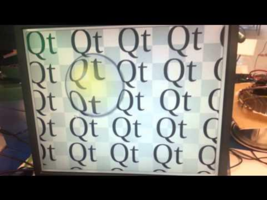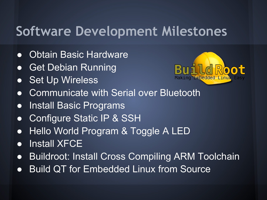### **Software Development Milestones**

- **Obtain Basic Hardware**
- Get Debian Running
- Set Up Wireless



- **Communicate with Serial over Bluetooth**
- Install Basic Programs
- Configure Static IP & SSH
- Hello World Program & Toggle A LED
- Install XFCE
- Buildroot: Install Cross Compiling ARM Toolchain
- Build QT for Embedded Linux from Source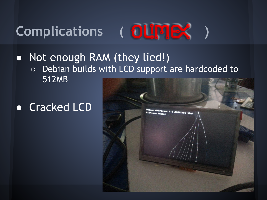

- Not enough RAM (they lied!) ○ Debian builds with LCD support are hardcoded to 512MB
- Cracked LCD

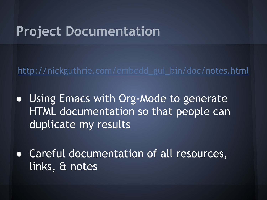#### **Project Documentation**

[http://nickguthrie.com/embedd\\_gui\\_bin/doc/notes.html](http://nickguthrie.com/embedd_gui_bin/doc/notes.html)

● Using Emacs with Org-Mode to generate HTML documentation so that people can duplicate my results

● Careful documentation of all resources, links, & notes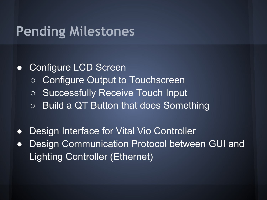#### **Pending Milestones**

#### ● Configure LCD Screen

- Configure Output to Touchscreen
- Successfully Receive Touch Input
- Build a QT Button that does Something
- Design Interface for Vital Vio Controller
- Design Communication Protocol between GUI and Lighting Controller (Ethernet)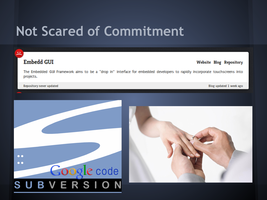### **Not Scared of Commitment**

#### **Embedd GUI**

#### Website Blog Repository

The Embedded GUI Framework aims to be a "drop in" interface for embedded developers to rapidly incorporate touchscreens into projects.

Repository never updated

Blog updated 1 week ago